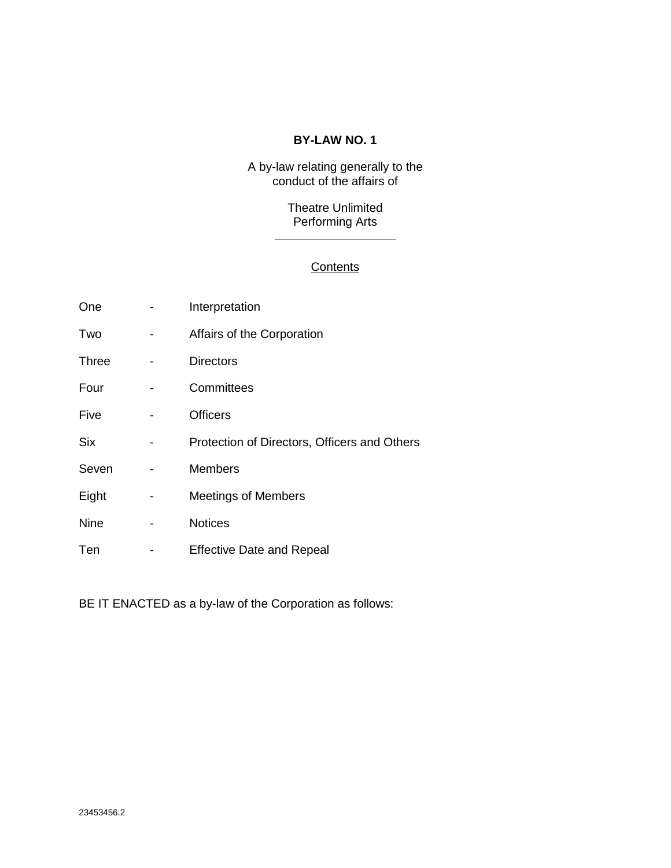### **BY-LAW NO. 1**

A by-law relating generally to the conduct of the affairs of

> Theatre Unlimited Performing Arts

## **Contents**

| One          | Interpretation                               |
|--------------|----------------------------------------------|
| Two          | Affairs of the Corporation                   |
| <b>Three</b> | <b>Directors</b>                             |
| Four         | Committees                                   |
| Five         | <b>Officers</b>                              |
| <b>Six</b>   | Protection of Directors, Officers and Others |
| Seven        | <b>Members</b>                               |
| Eight        | <b>Meetings of Members</b>                   |
| <b>Nine</b>  | <b>Notices</b>                               |
| Ten          | <b>Effective Date and Repeal</b>             |

BE IT ENACTED as a by-law of the Corporation as follows: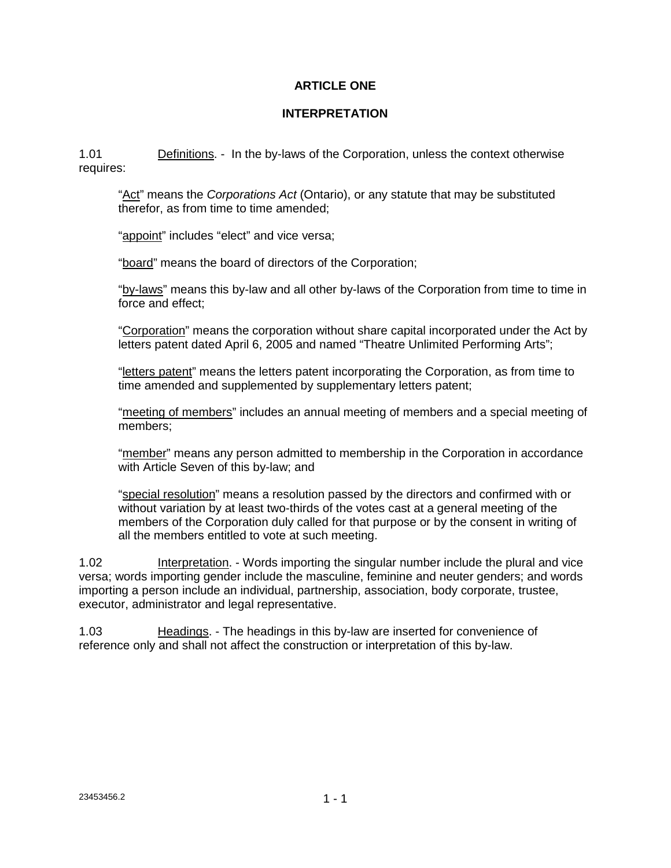### **ARTICLE ONE**

#### **INTERPRETATION**

1.01 Definitions. - In the by-laws of the Corporation, unless the context otherwise requires:

"Act" means the *Corporations Act* (Ontario), or any statute that may be substituted therefor, as from time to time amended;

"appoint" includes "elect" and vice versa;

"board" means the board of directors of the Corporation;

"by-laws" means this by-law and all other by-laws of the Corporation from time to time in force and effect;

"Corporation" means the corporation without share capital incorporated under the Act by letters patent dated April 6, 2005 and named "Theatre Unlimited Performing Arts";

"letters patent" means the letters patent incorporating the Corporation, as from time to time amended and supplemented by supplementary letters patent;

"meeting of members" includes an annual meeting of members and a special meeting of members;

"member" means any person admitted to membership in the Corporation in accordance with Article Seven of this by-law; and

"special resolution" means a resolution passed by the directors and confirmed with or without variation by at least two-thirds of the votes cast at a general meeting of the members of the Corporation duly called for that purpose or by the consent in writing of all the members entitled to vote at such meeting.

1.02 Interpretation. - Words importing the singular number include the plural and vice versa; words importing gender include the masculine, feminine and neuter genders; and words importing a person include an individual, partnership, association, body corporate, trustee, executor, administrator and legal representative.

1.03 **Headings.** - The headings in this by-law are inserted for convenience of reference only and shall not affect the construction or interpretation of this by-law.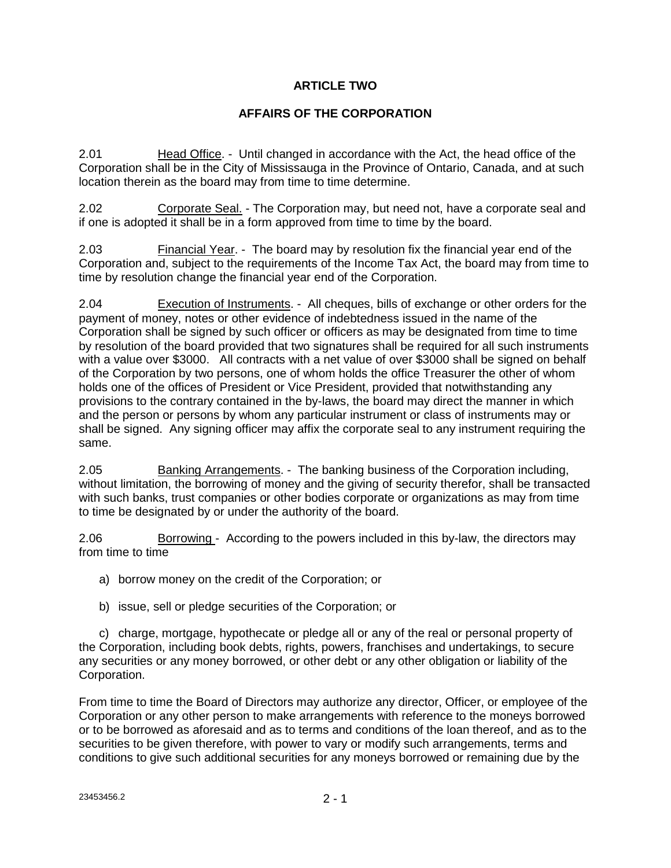### **ARTICLE TWO**

### **AFFAIRS OF THE CORPORATION**

2.01 Head Office. - Until changed in accordance with the Act, the head office of the Corporation shall be in the City of Mississauga in the Province of Ontario, Canada, and at such location therein as the board may from time to time determine.

2.02 Corporate Seal. - The Corporation may, but need not, have a corporate seal and if one is adopted it shall be in a form approved from time to time by the board.

2.03 Financial Year. - The board may by resolution fix the financial year end of the Corporation and, subject to the requirements of the Income Tax Act, the board may from time to time by resolution change the financial year end of the Corporation.

2.04 Execution of Instruments. - All cheques, bills of exchange or other orders for the payment of money, notes or other evidence of indebtedness issued in the name of the Corporation shall be signed by such officer or officers as may be designated from time to time by resolution of the board provided that two signatures shall be required for all such instruments with a value over \$3000. All contracts with a net value of over \$3000 shall be signed on behalf of the Corporation by two persons, one of whom holds the office Treasurer the other of whom holds one of the offices of President or Vice President, provided that notwithstanding any provisions to the contrary contained in the by-laws, the board may direct the manner in which and the person or persons by whom any particular instrument or class of instruments may or shall be signed. Any signing officer may affix the corporate seal to any instrument requiring the same.

2.05 Banking Arrangements. - The banking business of the Corporation including, without limitation, the borrowing of money and the giving of security therefor, shall be transacted with such banks, trust companies or other bodies corporate or organizations as may from time to time be designated by or under the authority of the board.

2.06 Borrowing - According to the powers included in this by-law, the directors may from time to time

- a) borrow money on the credit of the Corporation; or
- b) issue, sell or pledge securities of the Corporation; or

 c) charge, mortgage, hypothecate or pledge all or any of the real or personal property of the Corporation, including book debts, rights, powers, franchises and undertakings, to secure any securities or any money borrowed, or other debt or any other obligation or liability of the Corporation.

From time to time the Board of Directors may authorize any director, Officer, or employee of the Corporation or any other person to make arrangements with reference to the moneys borrowed or to be borrowed as aforesaid and as to terms and conditions of the loan thereof, and as to the securities to be given therefore, with power to vary or modify such arrangements, terms and conditions to give such additional securities for any moneys borrowed or remaining due by the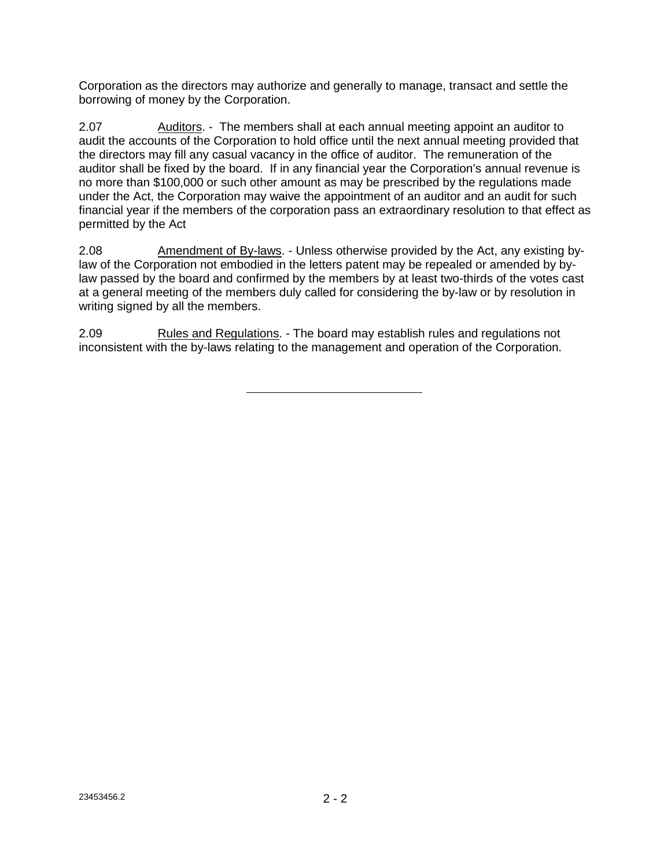Corporation as the directors may authorize and generally to manage, transact and settle the borrowing of money by the Corporation.

2.07 Auditors. - The members shall at each annual meeting appoint an auditor to audit the accounts of the Corporation to hold office until the next annual meeting provided that the directors may fill any casual vacancy in the office of auditor. The remuneration of the auditor shall be fixed by the board. If in any financial year the Corporation's annual revenue is no more than \$100,000 or such other amount as may be prescribed by the regulations made under the Act, the Corporation may waive the appointment of an auditor and an audit for such financial year if the members of the corporation pass an extraordinary resolution to that effect as permitted by the Act

2.08 Amendment of By-laws. - Unless otherwise provided by the Act, any existing bylaw of the Corporation not embodied in the letters patent may be repealed or amended by bylaw passed by the board and confirmed by the members by at least two-thirds of the votes cast at a general meeting of the members duly called for considering the by-law or by resolution in writing signed by all the members.

2.09 Rules and Regulations. - The board may establish rules and regulations not inconsistent with the by-laws relating to the management and operation of the Corporation.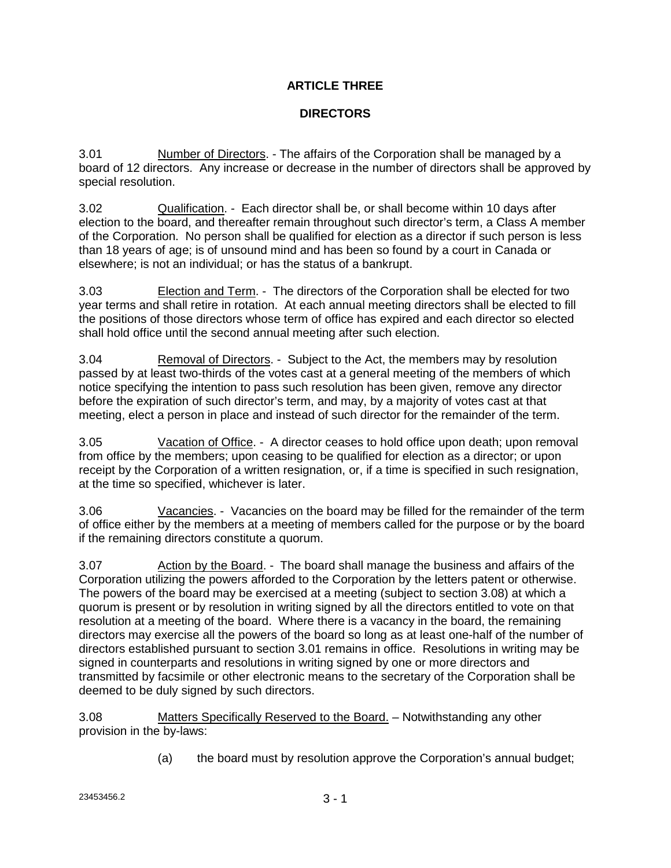# **ARTICLE THREE**

# **DIRECTORS**

3.01 Number of Directors. - The affairs of the Corporation shall be managed by a board of 12 directors. Any increase or decrease in the number of directors shall be approved by special resolution.

3.02 Qualification. - Each director shall be, or shall become within 10 days after election to the board, and thereafter remain throughout such director's term, a Class A member of the Corporation. No person shall be qualified for election as a director if such person is less than 18 years of age; is of unsound mind and has been so found by a court in Canada or elsewhere; is not an individual; or has the status of a bankrupt.

3.03 Election and Term. - The directors of the Corporation shall be elected for two year terms and shall retire in rotation. At each annual meeting directors shall be elected to fill the positions of those directors whose term of office has expired and each director so elected shall hold office until the second annual meeting after such election.

3.04 Removal of Directors. - Subject to the Act, the members may by resolution passed by at least two-thirds of the votes cast at a general meeting of the members of which notice specifying the intention to pass such resolution has been given, remove any director before the expiration of such director's term, and may, by a majority of votes cast at that meeting, elect a person in place and instead of such director for the remainder of the term.

3.05 Vacation of Office. - A director ceases to hold office upon death; upon removal from office by the members; upon ceasing to be qualified for election as a director; or upon receipt by the Corporation of a written resignation, or, if a time is specified in such resignation, at the time so specified, whichever is later.

3.06 Vacancies. - Vacancies on the board may be filled for the remainder of the term of office either by the members at a meeting of members called for the purpose or by the board if the remaining directors constitute a quorum.

3.07 Action by the Board. - The board shall manage the business and affairs of the Corporation utilizing the powers afforded to the Corporation by the letters patent or otherwise. The powers of the board may be exercised at a meeting (subject to section 3.08) at which a quorum is present or by resolution in writing signed by all the directors entitled to vote on that resolution at a meeting of the board. Where there is a vacancy in the board, the remaining directors may exercise all the powers of the board so long as at least one-half of the number of directors established pursuant to section 3.01 remains in office. Resolutions in writing may be signed in counterparts and resolutions in writing signed by one or more directors and transmitted by facsimile or other electronic means to the secretary of the Corporation shall be deemed to be duly signed by such directors.

3.08 Matters Specifically Reserved to the Board. - Notwithstanding any other provision in the by-laws:

(a) the board must by resolution approve the Corporation's annual budget;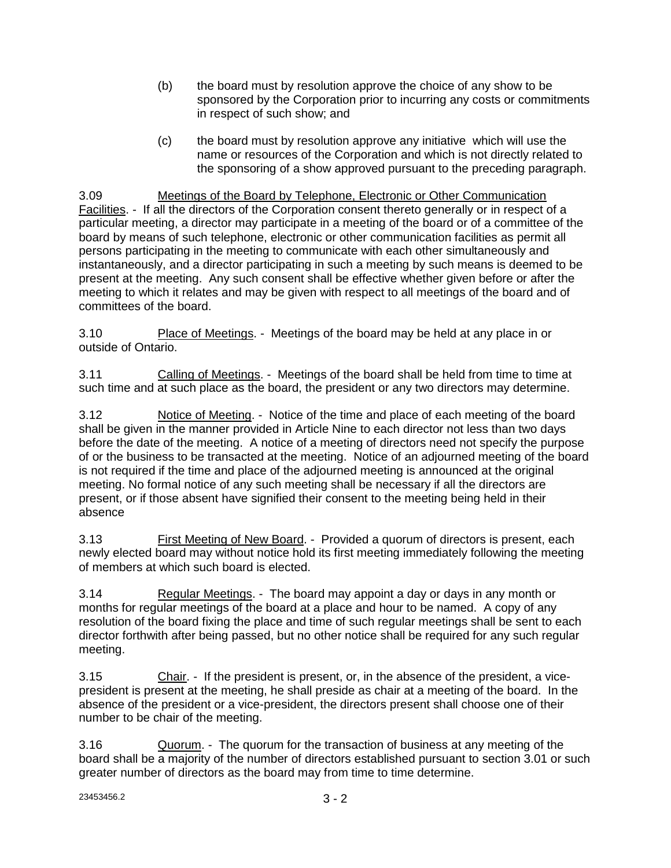- (b) the board must by resolution approve the choice of any show to be sponsored by the Corporation prior to incurring any costs or commitments in respect of such show; and
- (c) the board must by resolution approve any initiative which will use the name or resources of the Corporation and which is not directly related to the sponsoring of a show approved pursuant to the preceding paragraph.

3.09 Meetings of the Board by Telephone, Electronic or Other Communication Facilities. - If all the directors of the Corporation consent thereto generally or in respect of a particular meeting, a director may participate in a meeting of the board or of a committee of the board by means of such telephone, electronic or other communication facilities as permit all persons participating in the meeting to communicate with each other simultaneously and instantaneously, and a director participating in such a meeting by such means is deemed to be present at the meeting. Any such consent shall be effective whether given before or after the meeting to which it relates and may be given with respect to all meetings of the board and of committees of the board.

3.10 Place of Meetings. - Meetings of the board may be held at any place in or outside of Ontario.

3.11 Calling of Meetings. - Meetings of the board shall be held from time to time at such time and at such place as the board, the president or any two directors may determine.

3.12 Notice of Meeting. - Notice of the time and place of each meeting of the board shall be given in the manner provided in Article Nine to each director not less than two days before the date of the meeting. A notice of a meeting of directors need not specify the purpose of or the business to be transacted at the meeting. Notice of an adjourned meeting of the board is not required if the time and place of the adjourned meeting is announced at the original meeting. No formal notice of any such meeting shall be necessary if all the directors are present, or if those absent have signified their consent to the meeting being held in their absence

3.13 First Meeting of New Board. - Provided a quorum of directors is present, each newly elected board may without notice hold its first meeting immediately following the meeting of members at which such board is elected.

3.14 Regular Meetings. - The board may appoint a day or days in any month or months for regular meetings of the board at a place and hour to be named. A copy of any resolution of the board fixing the place and time of such regular meetings shall be sent to each director forthwith after being passed, but no other notice shall be required for any such regular meeting.

3.15 Chair. - If the president is present, or, in the absence of the president, a vicepresident is present at the meeting, he shall preside as chair at a meeting of the board. In the absence of the president or a vice-president, the directors present shall choose one of their number to be chair of the meeting.

3.16 Quorum. - The quorum for the transaction of business at any meeting of the board shall be a majority of the number of directors established pursuant to section 3.01 or such greater number of directors as the board may from time to time determine.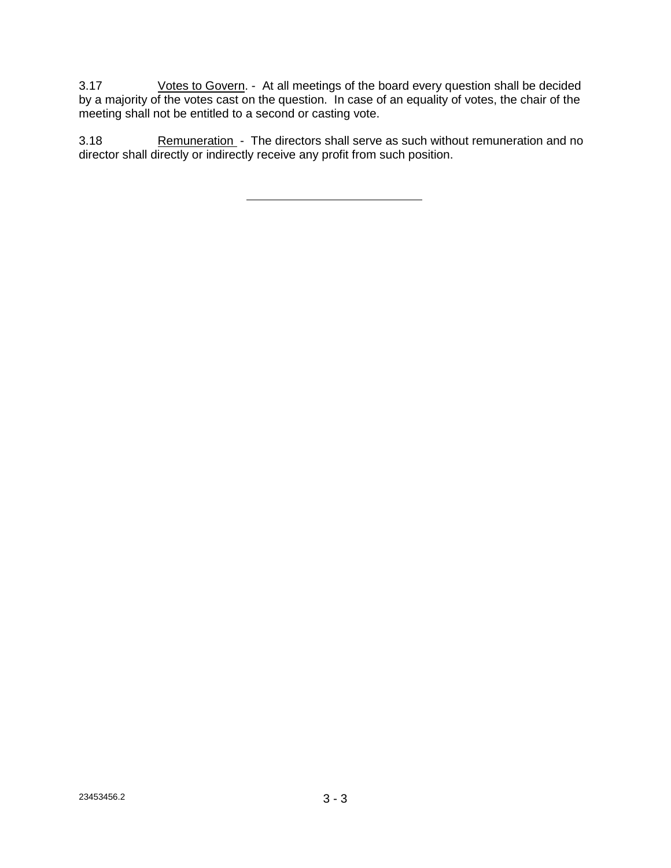3.17 Votes to Govern. - At all meetings of the board every question shall be decided by a majority of the votes cast on the question. In case of an equality of votes, the chair of the meeting shall not be entitled to a second or casting vote.

3.18 Remuneration - The directors shall serve as such without remuneration and no director shall directly or indirectly receive any profit from such position.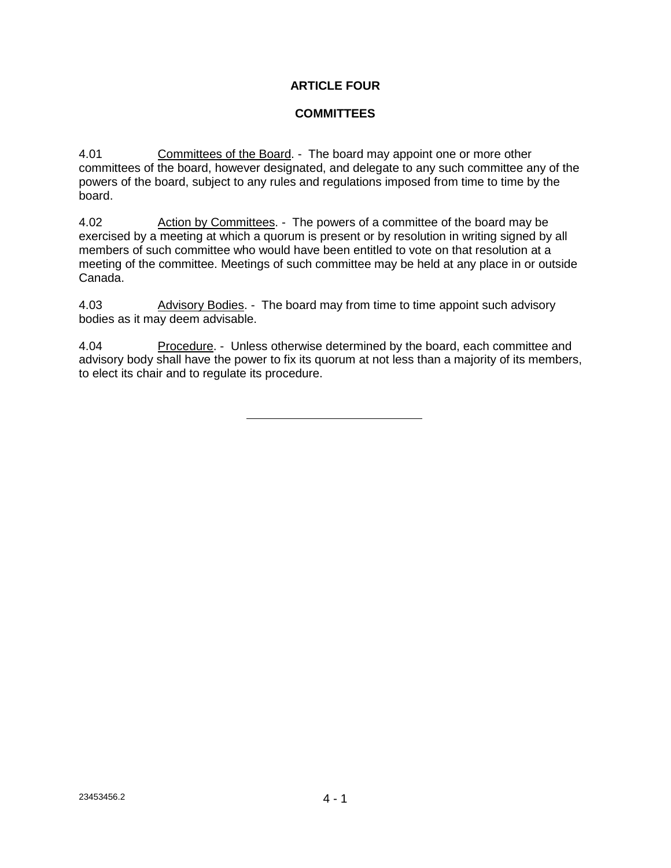### **ARTICLE FOUR**

#### **COMMITTEES**

4.01 Committees of the Board. - The board may appoint one or more other committees of the board, however designated, and delegate to any such committee any of the powers of the board, subject to any rules and regulations imposed from time to time by the board.

4.02 Action by Committees. - The powers of a committee of the board may be exercised by a meeting at which a quorum is present or by resolution in writing signed by all members of such committee who would have been entitled to vote on that resolution at a meeting of the committee. Meetings of such committee may be held at any place in or outside Canada.

4.03 Advisory Bodies. - The board may from time to time appoint such advisory bodies as it may deem advisable.

4.04 Procedure. - Unless otherwise determined by the board, each committee and advisory body shall have the power to fix its quorum at not less than a majority of its members, to elect its chair and to regulate its procedure.

23453456.2 4 - 1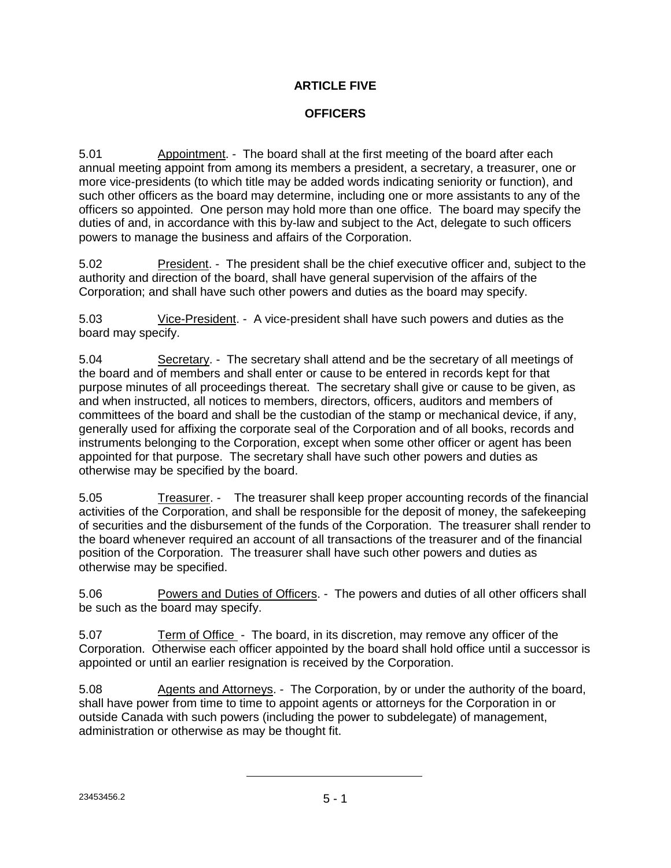# **ARTICLE FIVE**

# **OFFICERS**

5.01 Appointment. - The board shall at the first meeting of the board after each annual meeting appoint from among its members a president, a secretary, a treasurer, one or more vice-presidents (to which title may be added words indicating seniority or function), and such other officers as the board may determine, including one or more assistants to any of the officers so appointed. One person may hold more than one office. The board may specify the duties of and, in accordance with this by-law and subject to the Act, delegate to such officers powers to manage the business and affairs of the Corporation.

5.02 President. - The president shall be the chief executive officer and, subject to the authority and direction of the board, shall have general supervision of the affairs of the Corporation; and shall have such other powers and duties as the board may specify.

5.03 Vice-President. - A vice-president shall have such powers and duties as the board may specify.

5.04 Secretary. - The secretary shall attend and be the secretary of all meetings of the board and of members and shall enter or cause to be entered in records kept for that purpose minutes of all proceedings thereat. The secretary shall give or cause to be given, as and when instructed, all notices to members, directors, officers, auditors and members of committees of the board and shall be the custodian of the stamp or mechanical device, if any, generally used for affixing the corporate seal of the Corporation and of all books, records and instruments belonging to the Corporation, except when some other officer or agent has been appointed for that purpose. The secretary shall have such other powers and duties as otherwise may be specified by the board.

5.05 Treasurer. - The treasurer shall keep proper accounting records of the financial activities of the Corporation, and shall be responsible for the deposit of money, the safekeeping of securities and the disbursement of the funds of the Corporation. The treasurer shall render to the board whenever required an account of all transactions of the treasurer and of the financial position of the Corporation. The treasurer shall have such other powers and duties as otherwise may be specified.

5.06 Powers and Duties of Officers. - The powers and duties of all other officers shall be such as the board may specify.

5.07 Term of Office - The board, in its discretion, may remove any officer of the Corporation. Otherwise each officer appointed by the board shall hold office until a successor is appointed or until an earlier resignation is received by the Corporation.

5.08 Agents and Attorneys. - The Corporation, by or under the authority of the board, shall have power from time to time to appoint agents or attorneys for the Corporation in or outside Canada with such powers (including the power to subdelegate) of management, administration or otherwise as may be thought fit.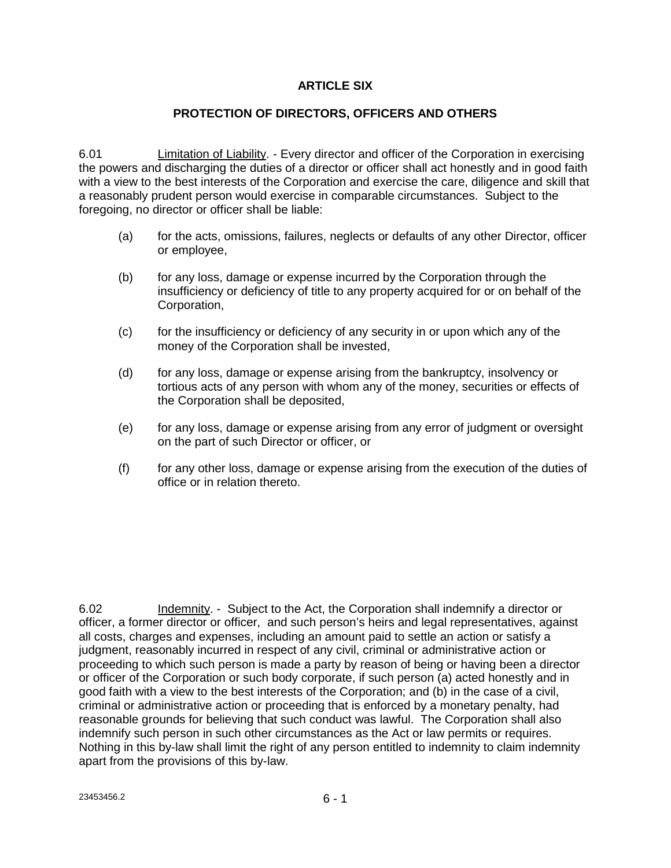### **ARTICLE SIX**

### **PROTECTION OF DIRECTORS, OFFICERS AND OTHERS**

6.01 Limitation of Liability. - Every director and officer of the Corporation in exercising the powers and discharging the duties of a director or officer shall act honestly and in good faith with a view to the best interests of the Corporation and exercise the care, diligence and skill that a reasonably prudent person would exercise in comparable circumstances. Subject to the foregoing, no director or officer shall be liable:

- (a) for the acts, omissions, failures, neglects or defaults of any other Director, officer or employee,
- (b) for any loss, damage or expense incurred by the Corporation through the insufficiency or deficiency of title to any property acquired for or on behalf of the Corporation,
- (c) for the insufficiency or deficiency of any security in or upon which any of the money of the Corporation shall be invested,
- (d) for any loss, damage or expense arising from the bankruptcy, insolvency or tortious acts of any person with whom any of the money, securities or effects of the Corporation shall be deposited,
- (e) for any loss, damage or expense arising from any error of judgment or oversight on the part of such Director or officer, or
- (f) for any other loss, damage or expense arising from the execution of the duties of office or in relation thereto.

6.02 Indemnity. - Subject to the Act, the Corporation shall indemnify a director or officer, a former director or officer, and such person's heirs and legal representatives, against all costs, charges and expenses, including an amount paid to settle an action or satisfy a judgment, reasonably incurred in respect of any civil, criminal or administrative action or proceeding to which such person is made a party by reason of being or having been a director or officer of the Corporation or such body corporate, if such person (a) acted honestly and in good faith with a view to the best interests of the Corporation; and (b) in the case of a civil, criminal or administrative action or proceeding that is enforced by a monetary penalty, had reasonable grounds for believing that such conduct was lawful. The Corporation shall also indemnify such person in such other circumstances as the Act or law permits or requires. Nothing in this by-law shall limit the right of any person entitled to indemnity to claim indemnity apart from the provisions of this by-law.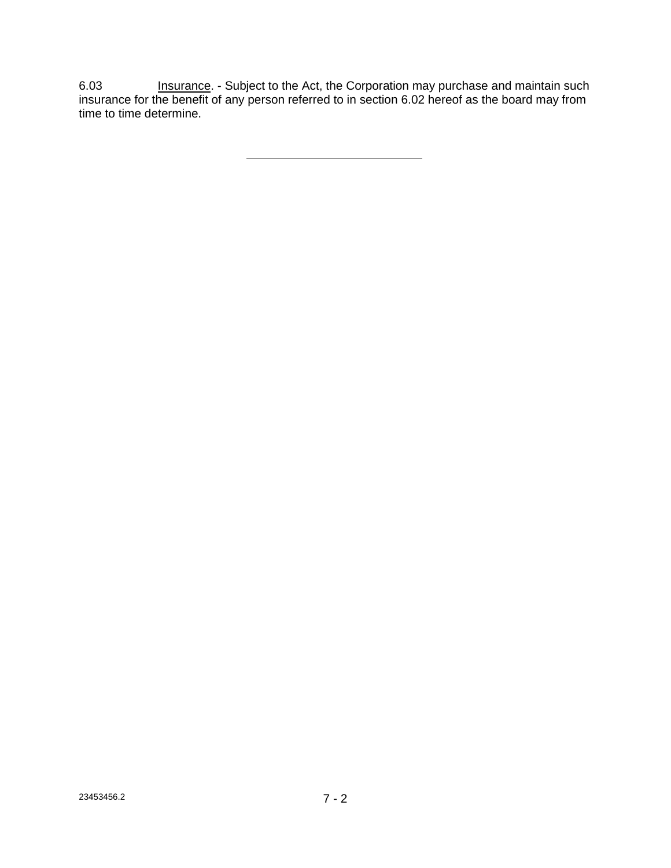6.03 Insurance. - Subject to the Act, the Corporation may purchase and maintain such insurance for the benefit of any person referred to in section 6.02 hereof as the board may from time to time determine.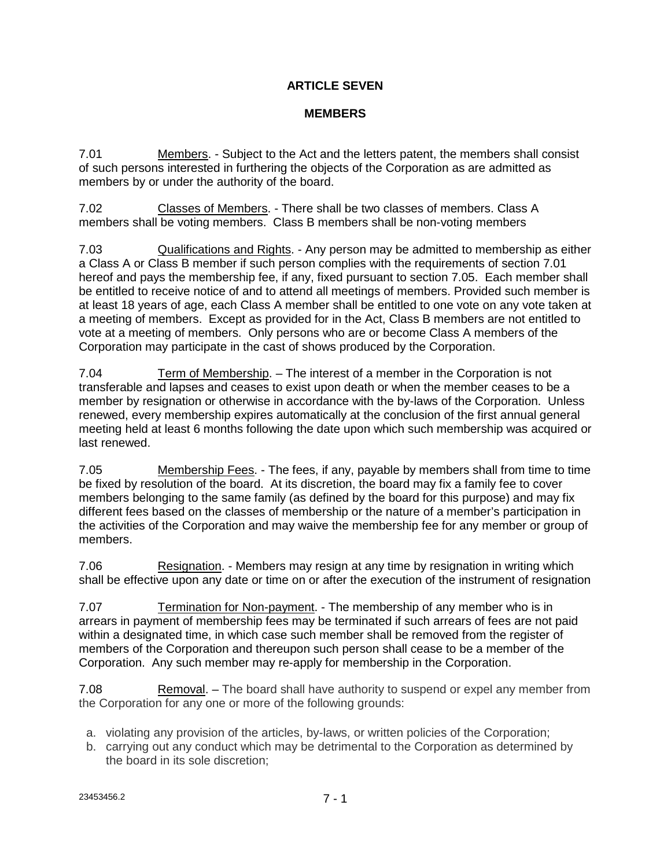# **ARTICLE SEVEN**

## **MEMBERS**

7.01 Members. - Subject to the Act and the letters patent, the members shall consist of such persons interested in furthering the objects of the Corporation as are admitted as members by or under the authority of the board.

7.02 Classes of Members. - There shall be two classes of members. Class A members shall be voting members. Class B members shall be non-voting members

7.03 Qualifications and Rights. - Any person may be admitted to membership as either a Class A or Class B member if such person complies with the requirements of section 7.01 hereof and pays the membership fee, if any, fixed pursuant to section 7.05. Each member shall be entitled to receive notice of and to attend all meetings of members. Provided such member is at least 18 years of age, each Class A member shall be entitled to one vote on any vote taken at a meeting of members. Except as provided for in the Act, Class B members are not entitled to vote at a meeting of members. Only persons who are or become Class A members of the Corporation may participate in the cast of shows produced by the Corporation.

7.04 Term of Membership. – The interest of a member in the Corporation is not transferable and lapses and ceases to exist upon death or when the member ceases to be a member by resignation or otherwise in accordance with the by-laws of the Corporation. Unless renewed, every membership expires automatically at the conclusion of the first annual general meeting held at least 6 months following the date upon which such membership was acquired or last renewed.

7.05 Membership Fees. - The fees, if any, payable by members shall from time to time be fixed by resolution of the board. At its discretion, the board may fix a family fee to cover members belonging to the same family (as defined by the board for this purpose) and may fix different fees based on the classes of membership or the nature of a member's participation in the activities of the Corporation and may waive the membership fee for any member or group of members.

7.06 Resignation. - Members may resign at any time by resignation in writing which shall be effective upon any date or time on or after the execution of the instrument of resignation

7.07 Termination for Non-payment. - The membership of any member who is in arrears in payment of membership fees may be terminated if such arrears of fees are not paid within a designated time, in which case such member shall be removed from the register of members of the Corporation and thereupon such person shall cease to be a member of the Corporation. Any such member may re-apply for membership in the Corporation.

7.08 Removal. – The board shall have authority to suspend or expel any member from the Corporation for any one or more of the following grounds:

- a. violating any provision of the articles, by-laws, or written policies of the Corporation;
- b. carrying out any conduct which may be detrimental to the Corporation as determined by the board in its sole discretion;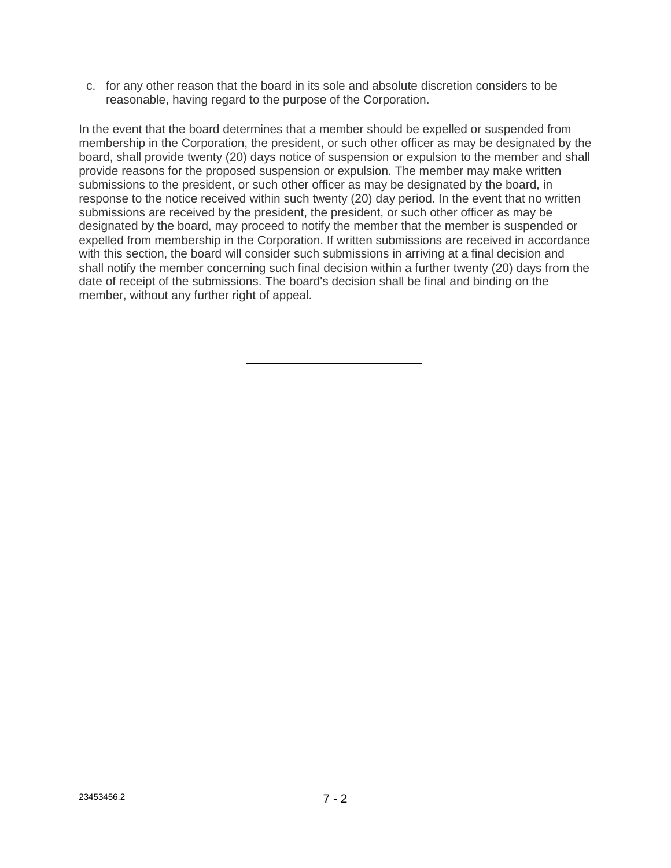c. for any other reason that the board in its sole and absolute discretion considers to be reasonable, having regard to the purpose of the Corporation.

In the event that the board determines that a member should be expelled or suspended from membership in the Corporation, the president, or such other officer as may be designated by the board, shall provide twenty (20) days notice of suspension or expulsion to the member and shall provide reasons for the proposed suspension or expulsion. The member may make written submissions to the president, or such other officer as may be designated by the board, in response to the notice received within such twenty (20) day period. In the event that no written submissions are received by the president, the president, or such other officer as may be designated by the board, may proceed to notify the member that the member is suspended or expelled from membership in the Corporation. If written submissions are received in accordance with this section, the board will consider such submissions in arriving at a final decision and shall notify the member concerning such final decision within a further twenty (20) days from the date of receipt of the submissions. The board's decision shall be final and binding on the member, without any further right of appeal.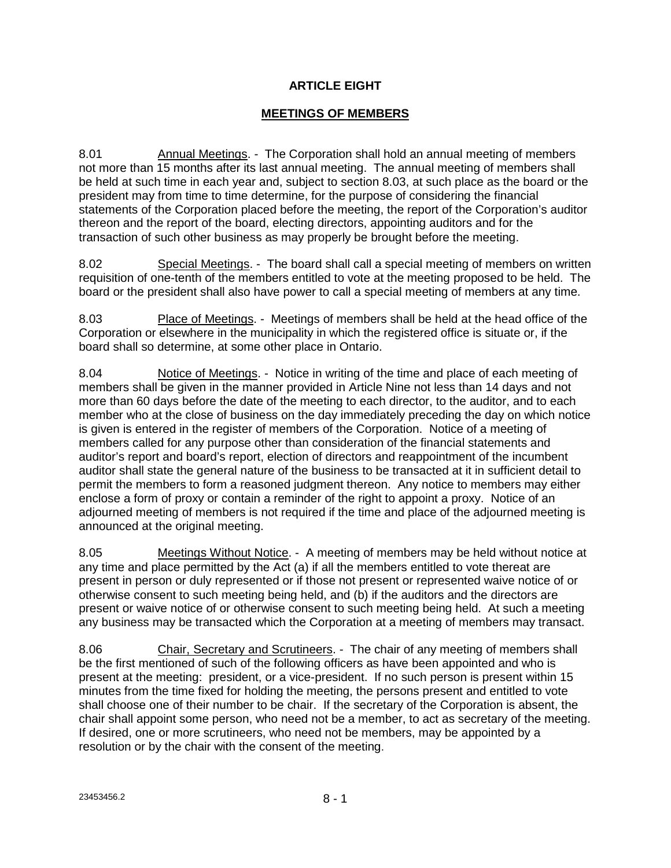## **ARTICLE EIGHT**

# **MEETINGS OF MEMBERS**

8.01 Annual Meetings. - The Corporation shall hold an annual meeting of members not more than 15 months after its last annual meeting. The annual meeting of members shall be held at such time in each year and, subject to section 8.03, at such place as the board or the president may from time to time determine, for the purpose of considering the financial statements of the Corporation placed before the meeting, the report of the Corporation's auditor thereon and the report of the board, electing directors, appointing auditors and for the transaction of such other business as may properly be brought before the meeting.

8.02 Special Meetings. - The board shall call a special meeting of members on written requisition of one-tenth of the members entitled to vote at the meeting proposed to be held. The board or the president shall also have power to call a special meeting of members at any time.

8.03 Place of Meetings. - Meetings of members shall be held at the head office of the Corporation or elsewhere in the municipality in which the registered office is situate or, if the board shall so determine, at some other place in Ontario.

8.04 Notice of Meetings. - Notice in writing of the time and place of each meeting of members shall be given in the manner provided in Article Nine not less than 14 days and not more than 60 days before the date of the meeting to each director, to the auditor, and to each member who at the close of business on the day immediately preceding the day on which notice is given is entered in the register of members of the Corporation. Notice of a meeting of members called for any purpose other than consideration of the financial statements and auditor's report and board's report, election of directors and reappointment of the incumbent auditor shall state the general nature of the business to be transacted at it in sufficient detail to permit the members to form a reasoned judgment thereon. Any notice to members may either enclose a form of proxy or contain a reminder of the right to appoint a proxy. Notice of an adjourned meeting of members is not required if the time and place of the adjourned meeting is announced at the original meeting.

8.05 Meetings Without Notice. - A meeting of members may be held without notice at any time and place permitted by the Act (a) if all the members entitled to vote thereat are present in person or duly represented or if those not present or represented waive notice of or otherwise consent to such meeting being held, and (b) if the auditors and the directors are present or waive notice of or otherwise consent to such meeting being held. At such a meeting any business may be transacted which the Corporation at a meeting of members may transact.

8.06 Chair, Secretary and Scrutineers. - The chair of any meeting of members shall be the first mentioned of such of the following officers as have been appointed and who is present at the meeting: president, or a vice-president. If no such person is present within 15 minutes from the time fixed for holding the meeting, the persons present and entitled to vote shall choose one of their number to be chair. If the secretary of the Corporation is absent, the chair shall appoint some person, who need not be a member, to act as secretary of the meeting. If desired, one or more scrutineers, who need not be members, may be appointed by a resolution or by the chair with the consent of the meeting.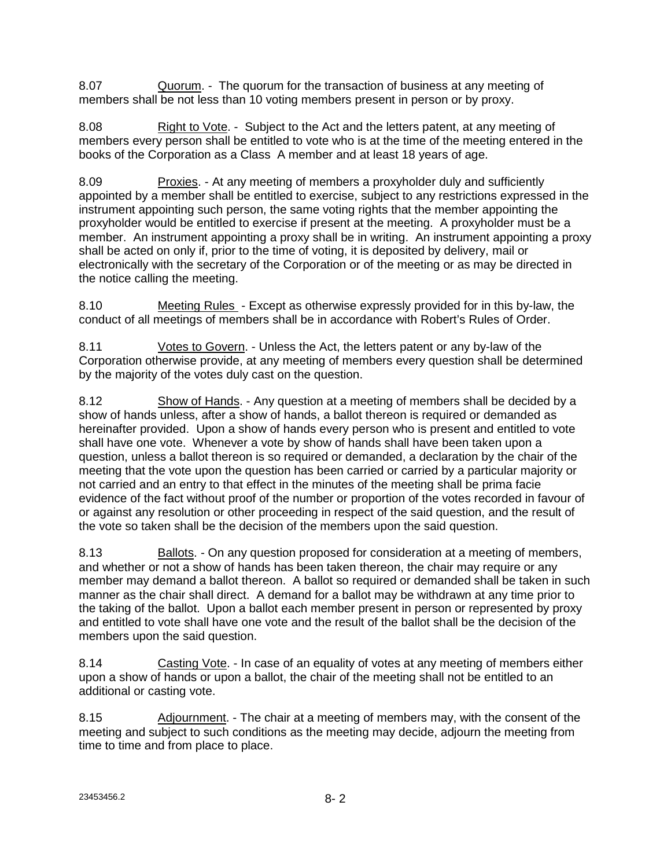8.07 Quorum. - The quorum for the transaction of business at any meeting of members shall be not less than 10 voting members present in person or by proxy.

8.08 Right to Vote. - Subject to the Act and the letters patent, at any meeting of members every person shall be entitled to vote who is at the time of the meeting entered in the books of the Corporation as a Class A member and at least 18 years of age.

8.09 Proxies. - At any meeting of members a proxyholder duly and sufficiently appointed by a member shall be entitled to exercise, subject to any restrictions expressed in the instrument appointing such person, the same voting rights that the member appointing the proxyholder would be entitled to exercise if present at the meeting. A proxyholder must be a member. An instrument appointing a proxy shall be in writing. An instrument appointing a proxy shall be acted on only if, prior to the time of voting, it is deposited by delivery, mail or electronically with the secretary of the Corporation or of the meeting or as may be directed in the notice calling the meeting.

8.10 Meeting Rules - Except as otherwise expressly provided for in this by-law, the conduct of all meetings of members shall be in accordance with Robert's Rules of Order.

8.11 Votes to Govern. - Unless the Act, the letters patent or any by-law of the Corporation otherwise provide, at any meeting of members every question shall be determined by the majority of the votes duly cast on the question.

8.12 Show of Hands. - Any question at a meeting of members shall be decided by a show of hands unless, after a show of hands, a ballot thereon is required or demanded as hereinafter provided. Upon a show of hands every person who is present and entitled to vote shall have one vote. Whenever a vote by show of hands shall have been taken upon a question, unless a ballot thereon is so required or demanded, a declaration by the chair of the meeting that the vote upon the question has been carried or carried by a particular majority or not carried and an entry to that effect in the minutes of the meeting shall be prima facie evidence of the fact without proof of the number or proportion of the votes recorded in favour of or against any resolution or other proceeding in respect of the said question, and the result of the vote so taken shall be the decision of the members upon the said question.

8.13 Ballots. - On any question proposed for consideration at a meeting of members, and whether or not a show of hands has been taken thereon, the chair may require or any member may demand a ballot thereon. A ballot so required or demanded shall be taken in such manner as the chair shall direct. A demand for a ballot may be withdrawn at any time prior to the taking of the ballot. Upon a ballot each member present in person or represented by proxy and entitled to vote shall have one vote and the result of the ballot shall be the decision of the members upon the said question.

8.14 Casting Vote. - In case of an equality of votes at any meeting of members either upon a show of hands or upon a ballot, the chair of the meeting shall not be entitled to an additional or casting vote.

8.15 Adjournment. - The chair at a meeting of members may, with the consent of the meeting and subject to such conditions as the meeting may decide, adjourn the meeting from time to time and from place to place.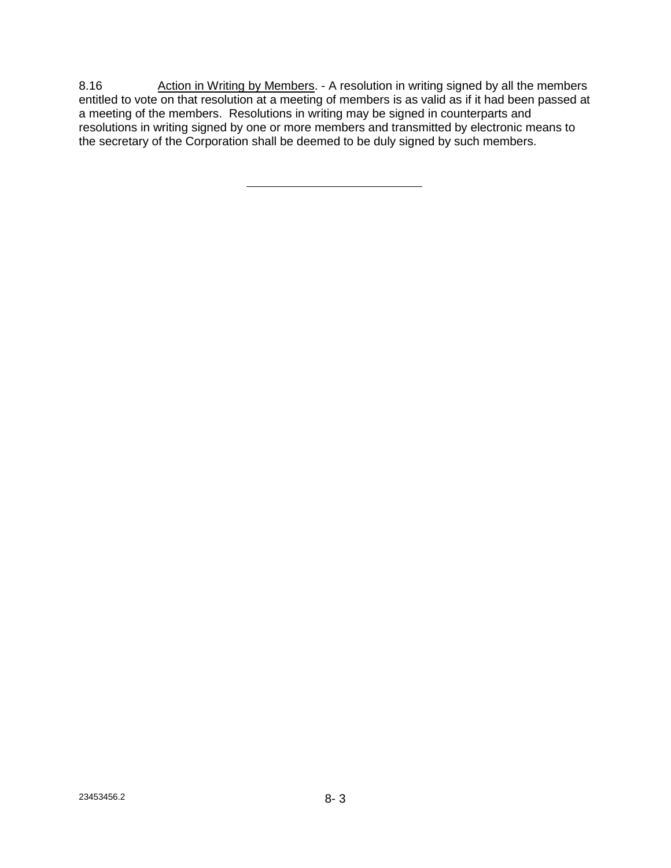8.16 Action in Writing by Members. - A resolution in writing signed by all the members entitled to vote on that resolution at a meeting of members is as valid as if it had been passed at a meeting of the members. Resolutions in writing may be signed in counterparts and resolutions in writing signed by one or more members and transmitted by electronic means to the secretary of the Corporation shall be deemed to be duly signed by such members.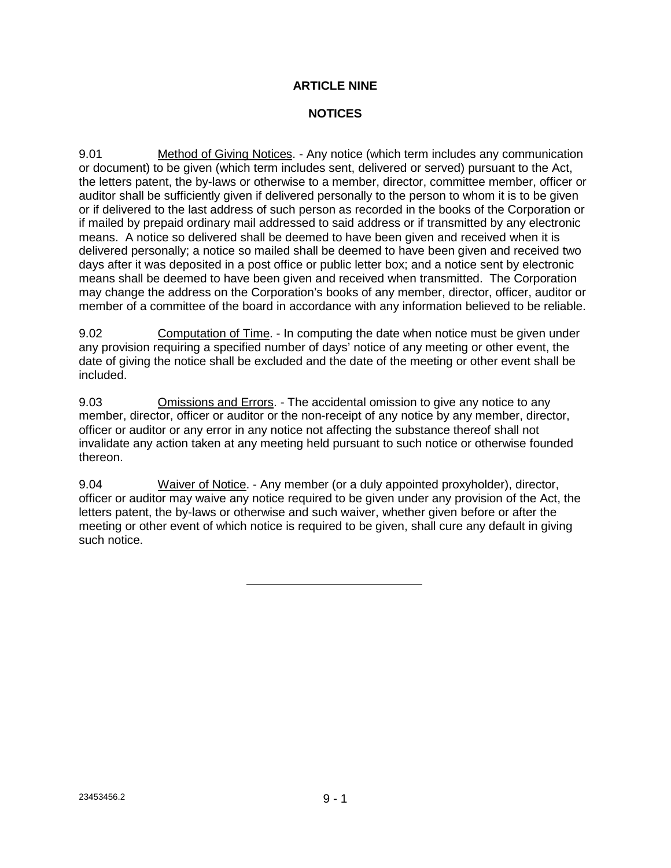### **ARTICLE NINE**

### **NOTICES**

9.01 Method of Giving Notices. - Any notice (which term includes any communication or document) to be given (which term includes sent, delivered or served) pursuant to the Act, the letters patent, the by-laws or otherwise to a member, director, committee member, officer or auditor shall be sufficiently given if delivered personally to the person to whom it is to be given or if delivered to the last address of such person as recorded in the books of the Corporation or if mailed by prepaid ordinary mail addressed to said address or if transmitted by any electronic means. A notice so delivered shall be deemed to have been given and received when it is delivered personally; a notice so mailed shall be deemed to have been given and received two days after it was deposited in a post office or public letter box; and a notice sent by electronic means shall be deemed to have been given and received when transmitted. The Corporation may change the address on the Corporation's books of any member, director, officer, auditor or member of a committee of the board in accordance with any information believed to be reliable.

9.02 Computation of Time. - In computing the date when notice must be given under any provision requiring a specified number of days' notice of any meeting or other event, the date of giving the notice shall be excluded and the date of the meeting or other event shall be included.

9.03 Omissions and Errors. - The accidental omission to give any notice to any member, director, officer or auditor or the non-receipt of any notice by any member, director, officer or auditor or any error in any notice not affecting the substance thereof shall not invalidate any action taken at any meeting held pursuant to such notice or otherwise founded thereon.

9.04 Waiver of Notice. - Any member (or a duly appointed proxyholder), director, officer or auditor may waive any notice required to be given under any provision of the Act, the letters patent, the by-laws or otherwise and such waiver, whether given before or after the meeting or other event of which notice is required to be given, shall cure any default in giving such notice.